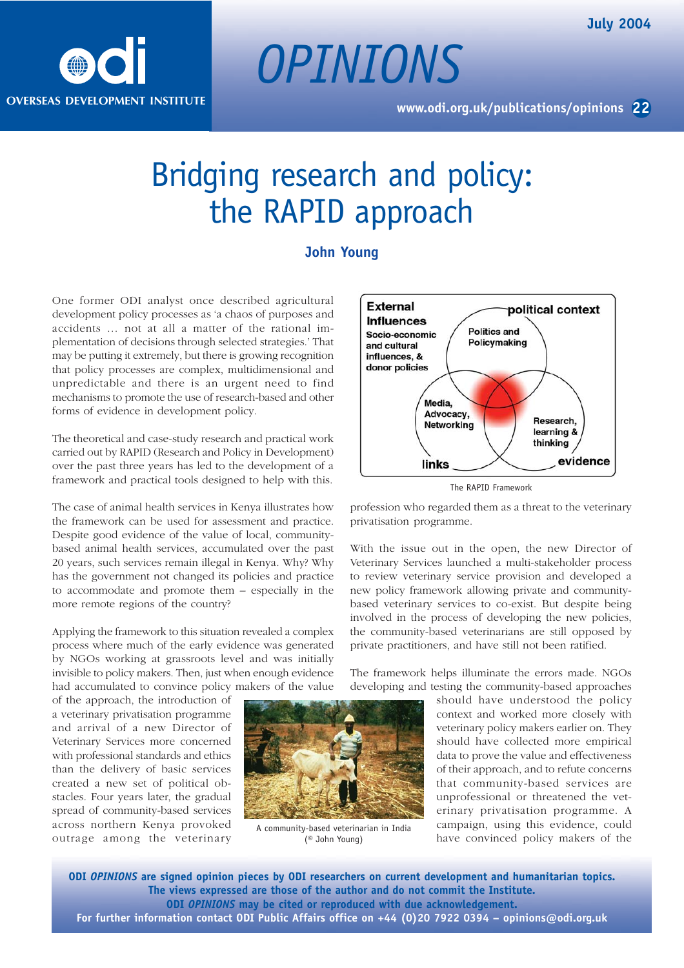

## Bridging research and policy: the RAPID approach

## **John Young**

One former ODI analyst once described agricultural development policy processes as 'a chaos of purposes and accidents … not at all a matter of the rational implementation of decisions through selected strategies.' That may be putting it extremely, but there is growing recognition that policy processes are complex, multidimensional and unpredictable and there is an urgent need to find mechanisms to promote the use of research-based and other forms of evidence in development policy.

The theoretical and case-study research and practical work carried out by RAPID (Research and Policy in Development) over the past three years has led to the development of a framework and practical tools designed to help with this.

The case of animal health services in Kenya illustrates how the framework can be used for assessment and practice. Despite good evidence of the value of local, communitybased animal health services, accumulated over the past 20 years, such services remain illegal in Kenya. Why? Why has the government not changed its policies and practice to accommodate and promote them – especially in the more remote regions of the country?

Applying the framework to this situation revealed a complex process where much of the early evidence was generated by NGOs working at grassroots level and was initially invisible to policy makers. Then, just when enough evidence had accumulated to convince policy makers of the value

of the approach, the introduction of a veterinary privatisation programme and arrival of a new Director of Veterinary Services more concerned with professional standards and ethics than the delivery of basic services created a new set of political obstacles. Four years later, the gradual spread of community-based services across northern Kenya provoked outrage among the veterinary



A community-based veterinarian in India (© John Young)



The RAPID Framework

profession who regarded them as a threat to the veterinary privatisation programme.

With the issue out in the open, the new Director of Veterinary Services launched a multi-stakeholder process to review veterinary service provision and developed a new policy framework allowing private and communitybased veterinary services to co-exist. But despite being involved in the process of developing the new policies, the community-based veterinarians are still opposed by private practitioners, and have still not been ratified.

The framework helps illuminate the errors made. NGOs developing and testing the community-based approaches

> should have understood the policy context and worked more closely with veterinary policy makers earlier on. They should have collected more empirical data to prove the value and effectiveness of their approach, and to refute concerns that community-based services are unprofessional or threatened the veterinary privatisation programme. A campaign, using this evidence, could have convinced policy makers of the

**ODI** *OPINIONS* **are signed opinion pieces by ODI researchers on current development and humanitarian topics. The views expressed are those of the author and do not commit the Institute. ODI** *OPINIONS* **may be cited or reproduced with due acknowledgement. For further information contact ODI Public Affairs office on +44 (0)20 7922 0394 – opinions@odi.org.uk**